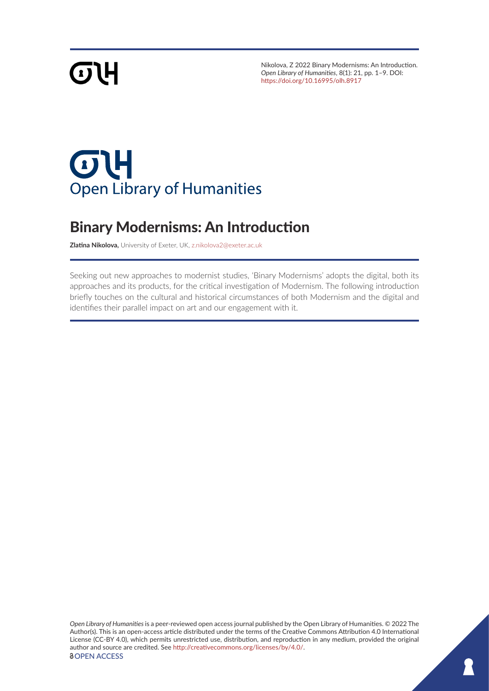# **GTH**

Nikolova, Z 2022 Binary Modernisms: An Introduction. *Open Library of Humanities*, 8(1): 21, pp. 1–9. DOI: <https://doi.org/10.16995/olh.8917>

## $\sigma$ 4 **Open Library of Humanities**

## Binary Modernisms: An Introduction

**Zlatina Nikolova,** University of Exeter, UK, [z.nikolova2@exeter.ac.uk](mailto:z.nikolova2@exeter.ac.uk)

Seeking out new approaches to modernist studies, 'Binary Modernisms' adopts the digital, both its approaches and its products, for the critical investigation of Modernism. The following introduction briefly touches on the cultural and historical circumstances of both Modernism and the digital and identifies their parallel impact on art and our engagement with it.

*Open Library of Humanities* is a peer-reviewed open access journal published by the Open Library of Humanities. © 2022 The Author(s). This is an open-access article distributed under the terms of the Creative Commons Attribution 4.0 International License (CC-BY 4.0), which permits unrestricted use, distribution, and reproduction in any medium, provided the original author and source are credited. See <http://creativecommons.org/licenses/by/4.0/>. *<u>OOPEN ACCESS</u>*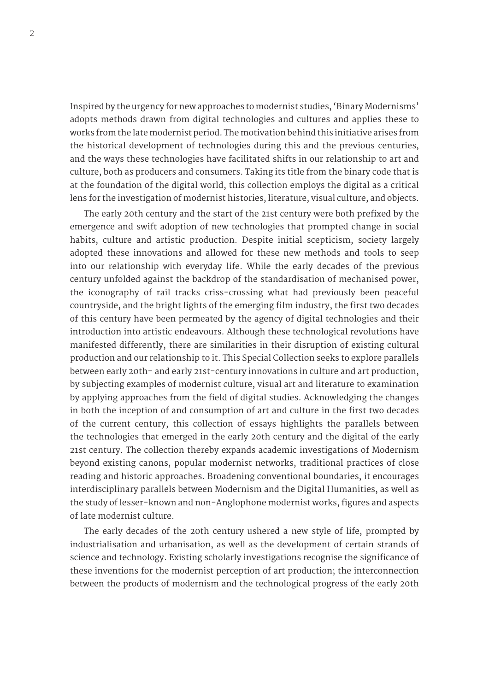Inspired by the urgency for new approaches to modernist studies, 'Binary Modernisms' adopts methods drawn from digital technologies and cultures and applies these to works from the late modernist period. The motivation behind this initiative arises from the historical development of technologies during this and the previous centuries, and the ways these technologies have facilitated shifts in our relationship to art and culture, both as producers and consumers. Taking its title from the binary code that is at the foundation of the digital world, this collection employs the digital as a critical lens for the investigation of modernist histories, literature, visual culture, and objects.

The early 20th century and the start of the 21st century were both prefixed by the emergence and swift adoption of new technologies that prompted change in social habits, culture and artistic production. Despite initial scepticism, society largely adopted these innovations and allowed for these new methods and tools to seep into our relationship with everyday life. While the early decades of the previous century unfolded against the backdrop of the standardisation of mechanised power, the iconography of rail tracks criss-crossing what had previously been peaceful countryside, and the bright lights of the emerging film industry, the first two decades of this century have been permeated by the agency of digital technologies and their introduction into artistic endeavours. Although these technological revolutions have manifested differently, there are similarities in their disruption of existing cultural production and our relationship to it. This Special Collection seeks to explore parallels between early 20th- and early 21st-century innovations in culture and art production, by subjecting examples of modernist culture, visual art and literature to examination by applying approaches from the field of digital studies. Acknowledging the changes in both the inception of and consumption of art and culture in the first two decades of the current century, this collection of essays highlights the parallels between the technologies that emerged in the early 20th century and the digital of the early 21st century. The collection thereby expands academic investigations of Modernism beyond existing canons, popular modernist networks, traditional practices of close reading and historic approaches. Broadening conventional boundaries, it encourages interdisciplinary parallels between Modernism and the Digital Humanities, as well as the study of lesser-known and non-Anglophone modernist works, figures and aspects of late modernist culture.

The early decades of the 20th century ushered a new style of life, prompted by industrialisation and urbanisation, as well as the development of certain strands of science and technology. Existing scholarly investigations recognise the significance of these inventions for the modernist perception of art production; the interconnection between the products of modernism and the technological progress of the early 20th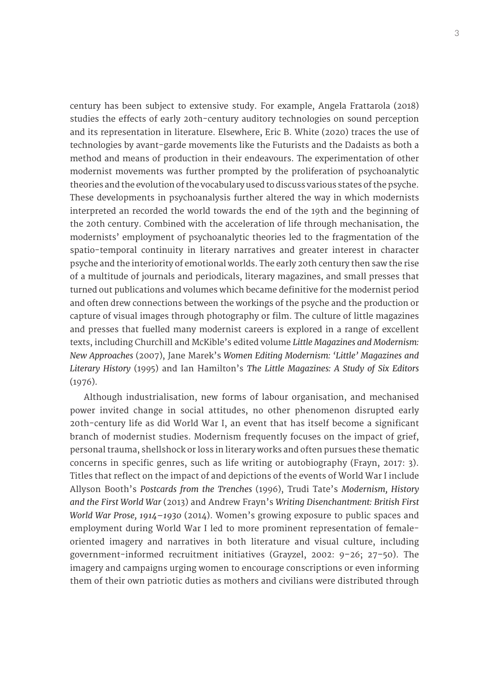century has been subject to extensive study. For example, Angela Frattarola (2018) studies the effects of early 20th-century auditory technologies on sound perception and its representation in literature. Elsewhere, Eric B. White (2020) traces the use of technologies by avant-garde movements like the Futurists and the Dadaists as both a method and means of production in their endeavours. The experimentation of other modernist movements was further prompted by the proliferation of psychoanalytic theories and the evolution of the vocabulary used to discuss various states of the psyche. These developments in psychoanalysis further altered the way in which modernists interpreted an recorded the world towards the end of the 19th and the beginning of the 20th century. Combined with the acceleration of life through mechanisation, the modernists' employment of psychoanalytic theories led to the fragmentation of the spatio-temporal continuity in literary narratives and greater interest in character psyche and the interiority of emotional worlds. The early 20th century then saw the rise of a multitude of journals and periodicals, literary magazines, and small presses that turned out publications and volumes which became definitive for the modernist period and often drew connections between the workings of the psyche and the production or capture of visual images through photography or film. The culture of little magazines and presses that fuelled many modernist careers is explored in a range of excellent texts, including Churchill and McKible's edited volume *Little Magazines and Modernism: New Approaches* (2007), Jane Marek's *Women Editing Modernism: 'Little' Magazines and Literary History* (1995) and Ian Hamilton's *The Little Magazines: A Study of Six Editors* (1976).

Although industrialisation, new forms of labour organisation, and mechanised power invited change in social attitudes, no other phenomenon disrupted early 20th-century life as did World War I, an event that has itself become a significant branch of modernist studies. Modernism frequently focuses on the impact of grief, personal trauma, shellshock or loss in literary works and often pursues these thematic concerns in specific genres, such as life writing or autobiography (Frayn, 2017: 3). Titles that reflect on the impact of and depictions of the events of World War I include Allyson Booth's *Postcards from the Trenches* (1996), Trudi Tate's *Modernism, History and the First World War* (2013) and Andrew Frayn's *Writing Disenchantment: British First World War Prose, 1914–1930* (2014). Women's growing exposure to public spaces and employment during World War I led to more prominent representation of femaleoriented imagery and narratives in both literature and visual culture, including government-informed recruitment initiatives (Grayzel, 2002: 9–26; 27–50). The imagery and campaigns urging women to encourage conscriptions or even informing them of their own patriotic duties as mothers and civilians were distributed through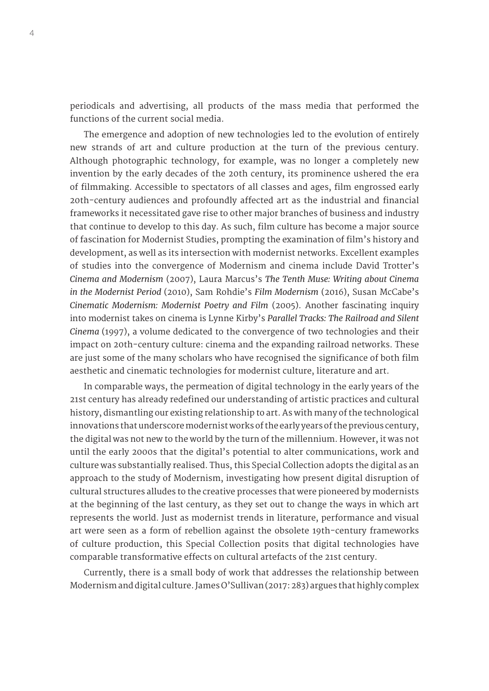periodicals and advertising, all products of the mass media that performed the functions of the current social media.

The emergence and adoption of new technologies led to the evolution of entirely new strands of art and culture production at the turn of the previous century. Although photographic technology, for example, was no longer a completely new invention by the early decades of the 20th century, its prominence ushered the era of filmmaking. Accessible to spectators of all classes and ages, film engrossed early 20th-century audiences and profoundly affected art as the industrial and financial frameworks it necessitated gave rise to other major branches of business and industry that continue to develop to this day. As such, film culture has become a major source of fascination for Modernist Studies, prompting the examination of film's history and development, as well as its intersection with modernist networks. Excellent examples of studies into the convergence of Modernism and cinema include David Trotter's *Cinema and Modernism* (2007), Laura Marcus's *The Tenth Muse: Writing about Cinema in the Modernist Period* (2010), Sam Rohdie's *Film Modernism* (2016), Susan McCabe's *Cinematic Modernism: Modernist Poetry and Film* (2005). Another fascinating inquiry into modernist takes on cinema is Lynne Kirby's *Parallel Tracks: The Railroad and Silent Cinema* (1997), a volume dedicated to the convergence of two technologies and their impact on 20th-century culture: cinema and the expanding railroad networks. These are just some of the many scholars who have recognised the significance of both film aesthetic and cinematic technologies for modernist culture, literature and art.

In comparable ways, the permeation of digital technology in the early years of the 21st century has already redefined our understanding of artistic practices and cultural history, dismantling our existing relationship to art. As with many of the technological innovations that underscore modernist works of the early years of the previous century, the digital was not new to the world by the turn of the millennium. However, it was not until the early 2000s that the digital's potential to alter communications, work and culture was substantially realised. Thus, this Special Collection adopts the digital as an approach to the study of Modernism, investigating how present digital disruption of cultural structures alludes to the creative processes that were pioneered by modernists at the beginning of the last century, as they set out to change the ways in which art represents the world. Just as modernist trends in literature, performance and visual art were seen as a form of rebellion against the obsolete 19th-century frameworks of culture production, this Special Collection posits that digital technologies have comparable transformative effects on cultural artefacts of the 21st century.

Currently, there is a small body of work that addresses the relationship between Modernism and digital culture. James O'Sullivan (2017: 283) argues that highly complex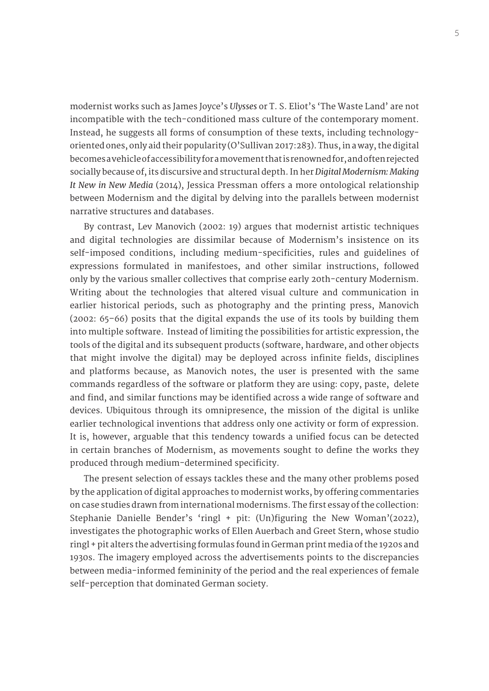modernist works such as James Joyce's *Ulysses* or T. S. Eliot's 'The Waste Land' are not incompatible with the tech-conditioned mass culture of the contemporary moment. Instead, he suggests all forms of consumption of these texts, including technologyoriented ones, only aid their popularity (O'Sullivan 2017:283). Thus, in a way, the digital becomes a vehicle of accessibility for a movement that is renowned for, and often rejected socially because of, its discursive and structural depth. In her *Digital Modernism: Making It New in New Media* (2014), Jessica Pressman offers a more ontological relationship between Modernism and the digital by delving into the parallels between modernist narrative structures and databases.

By contrast, Lev Manovich (2002: 19) argues that modernist artistic techniques and digital technologies are dissimilar because of Modernism's insistence on its self-imposed conditions, including medium-specificities, rules and guidelines of expressions formulated in manifestoes, and other similar instructions, followed only by the various smaller collectives that comprise early 20th-century Modernism. Writing about the technologies that altered visual culture and communication in earlier historical periods, such as photography and the printing press, Manovich (2002: 65–66) posits that the digital expands the use of its tools by building them into multiple software. Instead of limiting the possibilities for artistic expression, the tools of the digital and its subsequent products (software, hardware, and other objects that might involve the digital) may be deployed across infinite fields, disciplines and platforms because, as Manovich notes, the user is presented with the same commands regardless of the software or platform they are using: copy, paste, delete and find, and similar functions may be identified across a wide range of software and devices. Ubiquitous through its omnipresence, the mission of the digital is unlike earlier technological inventions that address only one activity or form of expression. It is, however, arguable that this tendency towards a unified focus can be detected in certain branches of Modernism, as movements sought to define the works they produced through medium-determined specificity.

The present selection of essays tackles these and the many other problems posed by the application of digital approaches to modernist works, by offering commentaries on case studies drawn from international modernisms. The first essay of the collection: Stephanie Danielle Bender's 'ringl + pit: (Un)figuring the New Woman'(2022), investigates the photographic works of Ellen Auerbach and Greet Stern, whose studio ringl + pit alters the advertising formulas found in German print media of the 1920s and 1930s. The imagery employed across the advertisements points to the discrepancies between media-informed femininity of the period and the real experiences of female self-perception that dominated German society.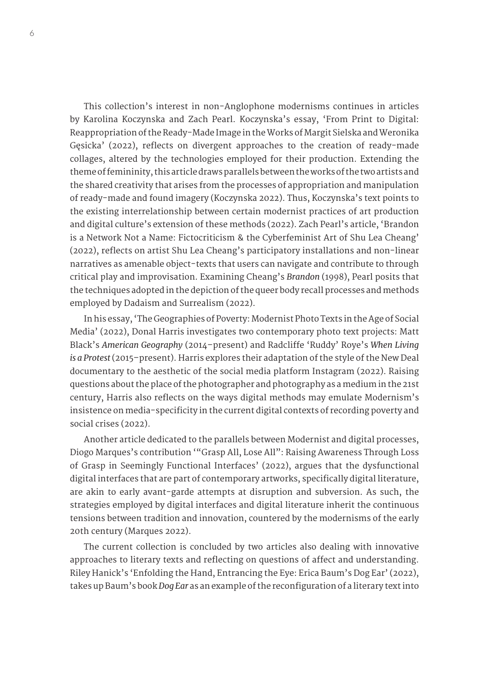This collection's interest in non-Anglophone modernisms continues in articles by Karolina Koczynska and Zach Pearl. Koczynska's essay, 'From Print to Digital: Reappropriation of the Ready-Made Image in the Works of Margit Sielska and Weronika Gęsicka' (2022), reflects on divergent approaches to the creation of ready-made collages, altered by the technologies employed for their production. Extending the theme of femininity, this article draws parallels between the works of the two artists and the shared creativity that arises from the processes of appropriation and manipulation of ready-made and found imagery (Koczynska 2022). Thus, Koczynska's text points to the existing interrelationship between certain modernist practices of art production and digital culture's extension of these methods (2022). Zach Pearl's article, 'Brandon is a Network Not a Name: Fictocriticism & the Cyberfeminist Art of Shu Lea Cheang' (2022), reflects on artist Shu Lea Cheang's participatory installations and non-linear narratives as amenable object-texts that users can navigate and contribute to through critical play and improvisation. Examining Cheang's *Brandon* (1998), Pearl posits that the techniques adopted in the depiction of the queer body recall processes and methods employed by Dadaism and Surrealism (2022).

In his essay, 'The Geographies of Poverty: Modernist Photo Texts in the Age of Social Media' (2022), Donal Harris investigates two contemporary photo text projects: Matt Black's *American Geography* (2014–present) and Radcliffe 'Ruddy' Roye's *When Living is a Protest* (2015–present). Harris explores their adaptation of the style of the New Deal documentary to the aesthetic of the social media platform Instagram (2022). Raising questions about the place of the photographer and photography as a medium in the 21st century, Harris also reflects on the ways digital methods may emulate Modernism's insistence on media-specificity in the current digital contexts of recording poverty and social crises (2022).

Another article dedicated to the parallels between Modernist and digital processes, Diogo Marques's contribution '"Grasp All, Lose All": Raising Awareness Through Loss of Grasp in Seemingly Functional Interfaces' (2022), argues that the dysfunctional digital interfaces that are part of contemporary artworks, specifically digital literature, are akin to early avant-garde attempts at disruption and subversion. As such, the strategies employed by digital interfaces and digital literature inherit the continuous tensions between tradition and innovation, countered by the modernisms of the early 20th century (Marques 2022).

The current collection is concluded by two articles also dealing with innovative approaches to literary texts and reflecting on questions of affect and understanding. Riley Hanick's 'Enfolding the Hand, Entrancing the Eye: Erica Baum's Dog Ear' (2022), takes up Baum's book *Dog Ear* as an example of the reconfiguration of a literary text into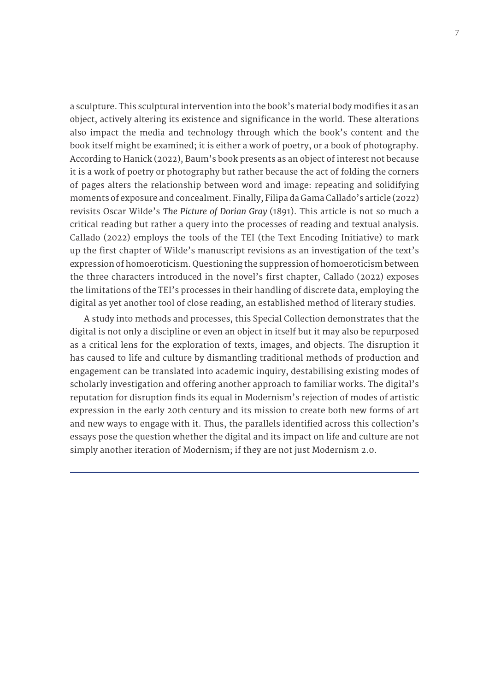a sculpture. This sculptural intervention into the book's material body modifies it as an object, actively altering its existence and significance in the world. These alterations also impact the media and technology through which the book's content and the book itself might be examined; it is either a work of poetry, or a book of photography. According to Hanick (2022), Baum's book presents as an object of interest not because it is a work of poetry or photography but rather because the act of folding the corners of pages alters the relationship between word and image: repeating and solidifying moments of exposure and concealment. Finally, Filipa da Gama Callado's article (2022) revisits Oscar Wilde's *The Picture of Dorian Gray* (1891). This article is not so much a critical reading but rather a query into the processes of reading and textual analysis. Callado (2022) employs the tools of the TEI (the Text Encoding Initiative) to mark up the first chapter of Wilde's manuscript revisions as an investigation of the text's expression of homoeroticism. Questioning the suppression of homoeroticism between the three characters introduced in the novel's first chapter, Callado (2022) exposes the limitations of the TEI's processes in their handling of discrete data, employing the digital as yet another tool of close reading, an established method of literary studies.

A study into methods and processes, this Special Collection demonstrates that the digital is not only a discipline or even an object in itself but it may also be repurposed as a critical lens for the exploration of texts, images, and objects. The disruption it has caused to life and culture by dismantling traditional methods of production and engagement can be translated into academic inquiry, destabilising existing modes of scholarly investigation and offering another approach to familiar works. The digital's reputation for disruption finds its equal in Modernism's rejection of modes of artistic expression in the early 20th century and its mission to create both new forms of art and new ways to engage with it. Thus, the parallels identified across this collection's essays pose the question whether the digital and its impact on life and culture are not simply another iteration of Modernism; if they are not just Modernism 2.0.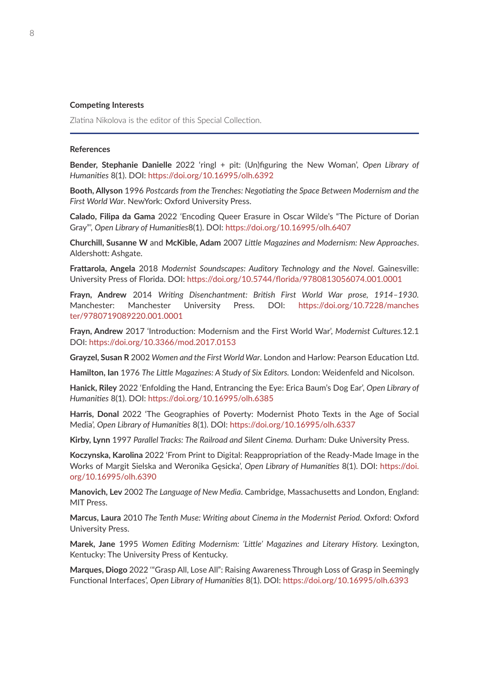#### **Competing Interests**

Zlatina Nikolova is the editor of this Special Collection.

### **References**

**Bender, Stephanie Danielle** 2022 'ringl + pit: (Un)figuring the New Woman', *Open Library of Humanities* 8(1). DOI:<https://doi.org/10.16995/olh.6392>

**Booth, Allyson** 1996 *Postcards from the Trenches: Negotiating the Space Between Modernism and the First World War*. NewYork: Oxford University Press.

**Calado, Filipa da Gama** 2022 'Encoding Queer Erasure in Oscar Wilde's "The Picture of Dorian Gray"', *Open Library of Humanities*8(1). DOI: <https://doi.org/10.16995/olh.6407>

**Churchill, Susanne W** and **McKible, Adam** 2007 *Little Magazines and Modernism: New Approaches*. Aldershott: Ashgate.

**Frattarola, Angela** 2018 *Modernist Soundscapes: Auditory Technology and the Novel*. Gainesville: University Press of Florida. DOI: <https://doi.org/10.5744/florida/9780813056074.001.0001>

**Frayn, Andrew** 2014 *Writing Disenchantment: British First World War prose, 1914–1930.*  Manchester: Manchester University Press. DOI: [https://doi.org/10.7228/manches](https://doi.org/10.7228/manchester/9780719089220.001.0001) [ter/9780719089220.001.0001](https://doi.org/10.7228/manchester/9780719089220.001.0001)

**Frayn, Andrew** 2017 'Introduction: Modernism and the First World War', *Modernist Cultures.*12.1 DOI: <https://doi.org/10.3366/mod.2017.0153>

**Grayzel, Susan R** 2002 *Women and the First World War*. London and Harlow: Pearson Education Ltd.

**Hamilton, Ian** 1976 *The Little Magazines: A Study of Six Editors.* London: Weidenfeld and Nicolson.

**Hanick, Riley** 2022 'Enfolding the Hand, Entrancing the Eye: Erica Baum's Dog Ear', *Open Library of Humanities* 8(1). DOI:<https://doi.org/10.16995/olh.6385>

**Harris, Donal** 2022 'The Geographies of Poverty: Modernist Photo Texts in the Age of Social Media', *Open Library of Humanities* 8(1). DOI: <https://doi.org/10.16995/olh.6337>

**Kirby, Lynn** 1997 *Parallel Tracks: The Railroad and Silent Cinema.* Durham: Duke University Press.

**Koczynska, Karolina** 2022 'From Print to Digital: Reappropriation of the Ready-Made Image in the Works of Margit Sielska and Weronika Gęsicka', *Open Library of Humanities* 8(1). DOI: [https://doi.](https://doi.org/10.16995/olh.6390) [org/10.16995/olh.6390](https://doi.org/10.16995/olh.6390)

**Manovich, Lev** 2002 *The Language of New Media*. Cambridge, Massachusetts and London, England: MIT Press.

**Marcus, Laura** 2010 *The Tenth Muse: Writing about Cinema in the Modernist Period.* Oxford: Oxford University Press.

**Marek, Jane** 1995 *Women Editing Modernism: 'Little' Magazines and Literary History.* Lexington, Kentucky: The University Press of Kentucky.

**Marques, Diogo** 2022 '"Grasp All, Lose All": Raising Awareness Through Loss of Grasp in Seemingly Functional Interfaces', *Open Library of Humanities* 8(1). DOI: <https://doi.org/10.16995/olh.6393>